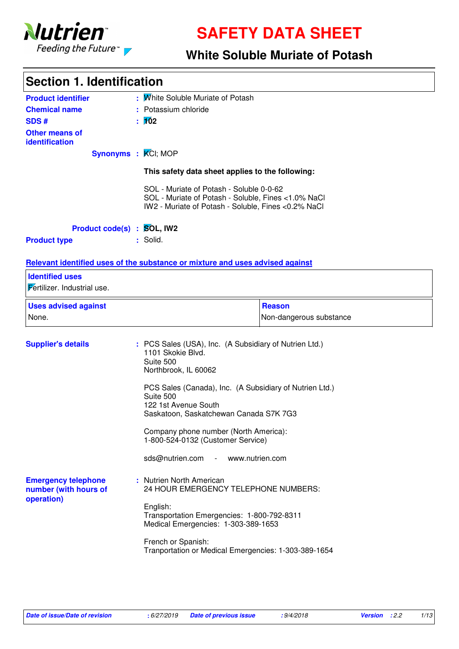

**SAFETY DATA SHEET**

### **White Soluble Muriate of Potash**

| <b>Section 1. Identification</b>                                  |                                                                                                                                                        |                         |
|-------------------------------------------------------------------|--------------------------------------------------------------------------------------------------------------------------------------------------------|-------------------------|
| <b>Product identifier</b>                                         | : Mhite Soluble Muriate of Potash                                                                                                                      |                         |
| <b>Chemical name</b>                                              | : Potassium chloride                                                                                                                                   |                         |
| <b>SDS#</b>                                                       | :102                                                                                                                                                   |                         |
| <b>Other means of</b><br>identification                           |                                                                                                                                                        |                         |
| Synonyms : KCI; MOP                                               |                                                                                                                                                        |                         |
|                                                                   | This safety data sheet applies to the following:                                                                                                       |                         |
|                                                                   | SOL - Muriate of Potash - Soluble 0-0-62<br>SOL - Muriate of Potash - Soluble, Fines <1.0% NaCl<br>IW2 - Muriate of Potash - Soluble, Fines <0.2% NaCl |                         |
| Product code(s) : SOL, IW2                                        |                                                                                                                                                        |                         |
| <b>Product type</b>                                               | : Solid.                                                                                                                                               |                         |
|                                                                   |                                                                                                                                                        |                         |
|                                                                   | Relevant identified uses of the substance or mixture and uses advised against                                                                          |                         |
| <b>Identified uses</b>                                            |                                                                                                                                                        |                         |
| Fertilizer. Industrial use.                                       |                                                                                                                                                        |                         |
| <b>Uses advised against</b>                                       |                                                                                                                                                        | <b>Reason</b>           |
| None.                                                             |                                                                                                                                                        | Non-dangerous substance |
| <b>Supplier's details</b>                                         | : PCS Sales (USA), Inc. (A Subsidiary of Nutrien Ltd.)<br>1101 Skokie Blvd.<br>Suite 500<br>Northbrook, IL 60062                                       |                         |
|                                                                   | PCS Sales (Canada), Inc. (A Subsidiary of Nutrien Ltd.)<br>Suite 500<br>122 1st Avenue South<br>Saskatoon, Saskatchewan Canada S7K 7G3                 |                         |
|                                                                   | Company phone number (North America):<br>1-800-524-0132 (Customer Service)                                                                             |                         |
|                                                                   | sds@nutrien.com - www.nutrien.com                                                                                                                      |                         |
| <b>Emergency telephone</b><br>number (with hours of<br>operation) | : Nutrien North American<br>24 HOUR EMERGENCY TELEPHONE NUMBERS:<br>English:<br>Transportation Emergencies: 1-800-792-8311                             |                         |
|                                                                   | Medical Emergencies: 1-303-389-1653                                                                                                                    |                         |
|                                                                   | French or Spanish:<br>Tranportation or Medical Emergencies: 1-303-389-1654                                                                             |                         |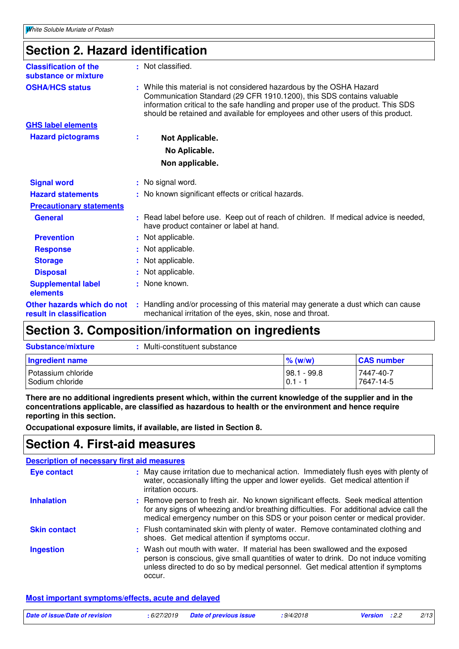### **Section 2. Hazard identification**

| <b>Classification of the</b><br>substance or mixture   |    | : Not classified.                                                                                                                                                                                                                                                                                                     |
|--------------------------------------------------------|----|-----------------------------------------------------------------------------------------------------------------------------------------------------------------------------------------------------------------------------------------------------------------------------------------------------------------------|
| <b>OSHA/HCS status</b>                                 |    | : While this material is not considered hazardous by the OSHA Hazard<br>Communication Standard (29 CFR 1910.1200), this SDS contains valuable<br>information critical to the safe handling and proper use of the product. This SDS<br>should be retained and available for employees and other users of this product. |
| <b>GHS label elements</b>                              |    |                                                                                                                                                                                                                                                                                                                       |
| <b>Hazard pictograms</b>                               | ÷. | Not Applicable.                                                                                                                                                                                                                                                                                                       |
|                                                        |    | No Aplicable.                                                                                                                                                                                                                                                                                                         |
|                                                        |    | Non applicable.                                                                                                                                                                                                                                                                                                       |
| <b>Signal word</b>                                     |    | : No signal word.                                                                                                                                                                                                                                                                                                     |
| <b>Hazard statements</b>                               |    | : No known significant effects or critical hazards.                                                                                                                                                                                                                                                                   |
| <b>Precautionary statements</b>                        |    |                                                                                                                                                                                                                                                                                                                       |
| <b>General</b>                                         |    | : Read label before use. Keep out of reach of children. If medical advice is needed,<br>have product container or label at hand.                                                                                                                                                                                      |
| <b>Prevention</b>                                      |    | : Not applicable.                                                                                                                                                                                                                                                                                                     |
| <b>Response</b>                                        |    | : Not applicable.                                                                                                                                                                                                                                                                                                     |
| <b>Storage</b>                                         |    | : Not applicable.                                                                                                                                                                                                                                                                                                     |
| <b>Disposal</b>                                        |    | : Not applicable.                                                                                                                                                                                                                                                                                                     |
| <b>Supplemental label</b><br>elements                  |    | : None known.                                                                                                                                                                                                                                                                                                         |
| Other hazards which do not<br>result in classification |    | : Handling and/or processing of this material may generate a dust which can cause<br>mechanical irritation of the eyes, skin, nose and throat.                                                                                                                                                                        |

### **Section 3. Composition/information on ingredients**

| <b>Substance/mixture</b>                | Multi-constituent substance |                          |                        |
|-----------------------------------------|-----------------------------|--------------------------|------------------------|
| <b>Ingredient name</b>                  |                             | $\%$ (w/w)               | <b>CAS number</b>      |
| I Potassium chloride<br>Sodium chloride |                             | 98.1 - 99.8<br>$0.1 - 1$ | 7447-40-7<br>7647-14-5 |

**There are no additional ingredients present which, within the current knowledge of the supplier and in the concentrations applicable, are classified as hazardous to health or the environment and hence require reporting in this section.**

**Occupational exposure limits, if available, are listed in Section 8.**

### **Section 4. First-aid measures**

|                     | <b>Description of necessary first aid measures</b>                                                                                                                                                                                                                |
|---------------------|-------------------------------------------------------------------------------------------------------------------------------------------------------------------------------------------------------------------------------------------------------------------|
| <b>Eye contact</b>  | : May cause irritation due to mechanical action. Immediately flush eyes with plenty of<br>water, occasionally lifting the upper and lower eyelids. Get medical attention if<br>irritation occurs.                                                                 |
| <b>Inhalation</b>   | : Remove person to fresh air. No known significant effects. Seek medical attention<br>for any signs of wheezing and/or breathing difficulties. For additional advice call the<br>medical emergency number on this SDS or your poison center or medical provider.  |
| <b>Skin contact</b> | : Flush contaminated skin with plenty of water. Remove contaminated clothing and<br>shoes. Get medical attention if symptoms occur.                                                                                                                               |
| <b>Ingestion</b>    | : Wash out mouth with water. If material has been swallowed and the exposed<br>person is conscious, give small quantities of water to drink. Do not induce vomiting<br>unless directed to do so by medical personnel. Get medical attention if symptoms<br>occur. |

**Most important symptoms/effects, acute and delayed**

| Date of issue/Date of revision | : 6/27/2019 Date of previous issue | :9/4/2018 | <b>Version</b> : 2.2 | 2/13 |
|--------------------------------|------------------------------------|-----------|----------------------|------|
|                                |                                    |           |                      |      |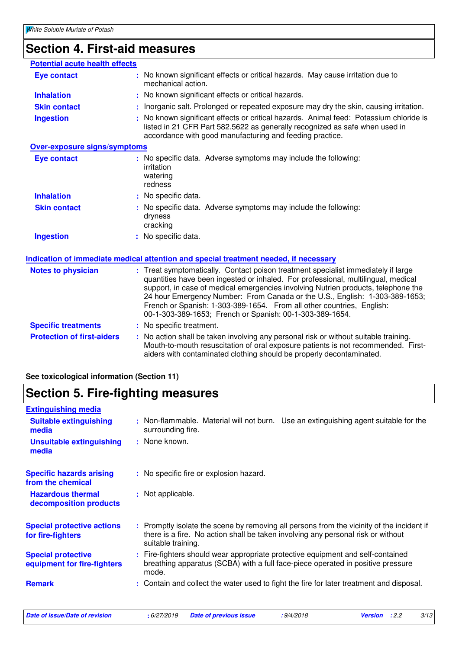### **Section 4. First-aid measures**

| <b>Potential acute health effects</b> |                                                                                                                                                                                                                                                                                                                                                                                                                                                                                 |
|---------------------------------------|---------------------------------------------------------------------------------------------------------------------------------------------------------------------------------------------------------------------------------------------------------------------------------------------------------------------------------------------------------------------------------------------------------------------------------------------------------------------------------|
| <b>Eye contact</b>                    | : No known significant effects or critical hazards. May cause irritation due to<br>mechanical action.                                                                                                                                                                                                                                                                                                                                                                           |
| <b>Inhalation</b>                     | No known significant effects or critical hazards.                                                                                                                                                                                                                                                                                                                                                                                                                               |
| <b>Skin contact</b>                   | Inorganic salt. Prolonged or repeated exposure may dry the skin, causing irritation.                                                                                                                                                                                                                                                                                                                                                                                            |
| <b>Ingestion</b>                      | No known significant effects or critical hazards. Animal feed: Potassium chloride is<br>listed in 21 CFR Part 582.5622 as generally recognized as safe when used in<br>accordance with good manufacturing and feeding practice.                                                                                                                                                                                                                                                 |
| <b>Over-exposure signs/symptoms</b>   |                                                                                                                                                                                                                                                                                                                                                                                                                                                                                 |
| <b>Eye contact</b>                    | : No specific data. Adverse symptoms may include the following:<br>irritation<br>watering<br>redness                                                                                                                                                                                                                                                                                                                                                                            |
| <b>Inhalation</b>                     | : No specific data.                                                                                                                                                                                                                                                                                                                                                                                                                                                             |
| <b>Skin contact</b>                   | : No specific data. Adverse symptoms may include the following:<br>dryness<br>cracking                                                                                                                                                                                                                                                                                                                                                                                          |
| <b>Ingestion</b>                      | : No specific data.                                                                                                                                                                                                                                                                                                                                                                                                                                                             |
|                                       | Indication of immediate medical attention and special treatment needed, if necessary                                                                                                                                                                                                                                                                                                                                                                                            |
| <b>Notes to physician</b>             | : Treat symptomatically. Contact poison treatment specialist immediately if large<br>quantities have been ingested or inhaled. For professional, multilingual, medical<br>support, in case of medical emergencies involving Nutrien products, telephone the<br>24 hour Emergency Number: From Canada or the U.S., English: 1-303-389-1653;<br>French or Spanish: 1-303-389-1654. From all other countries, English:<br>00-1-303-389-1653; French or Spanish: 00-1-303-389-1654. |
| <b>Specific treatments</b>            | : No specific treatment.                                                                                                                                                                                                                                                                                                                                                                                                                                                        |
| <b>Protection of first-aiders</b>     | : No action shall be taken involving any personal risk or without suitable training.<br>Mouth-to-mouth resuscitation of oral exposure patients is not recommended. First-<br>aiders with contaminated clothing should be properly decontaminated.                                                                                                                                                                                                                               |

**See toxicological information (Section 11)**

### **Section 5. Fire-fighting measures**

| <b>Extinguishing media</b>                               |                                                                                                                                                                                                     |
|----------------------------------------------------------|-----------------------------------------------------------------------------------------------------------------------------------------------------------------------------------------------------|
| <b>Suitable extinguishing</b><br>media                   | : Non-flammable. Material will not burn. Use an extinguishing agent suitable for the<br>surrounding fire.                                                                                           |
| <b>Unsuitable extinguishing</b><br>media                 | : None known.                                                                                                                                                                                       |
| <b>Specific hazards arising</b><br>from the chemical     | : No specific fire or explosion hazard.                                                                                                                                                             |
| <b>Hazardous thermal</b><br>decomposition products       | : Not applicable.                                                                                                                                                                                   |
| <b>Special protective actions</b><br>for fire-fighters   | : Promptly isolate the scene by removing all persons from the vicinity of the incident if<br>there is a fire. No action shall be taken involving any personal risk or without<br>suitable training. |
| <b>Special protective</b><br>equipment for fire-fighters | : Fire-fighters should wear appropriate protective equipment and self-contained<br>breathing apparatus (SCBA) with a full face-piece operated in positive pressure<br>mode.                         |
| <b>Remark</b>                                            | : Contain and collect the water used to fight the fire for later treatment and disposal.                                                                                                            |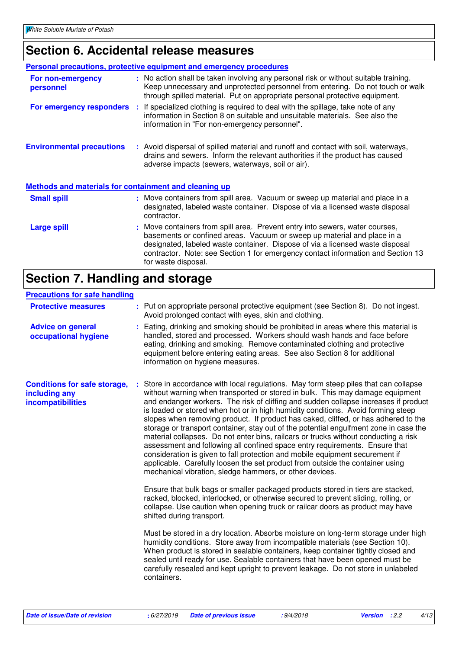## **Section 6. Accidental release measures**

|                                                       | <b>Personal precautions, protective equipment and emergency procedures</b>                                                                                                                                                                                                                                                                          |
|-------------------------------------------------------|-----------------------------------------------------------------------------------------------------------------------------------------------------------------------------------------------------------------------------------------------------------------------------------------------------------------------------------------------------|
| For non-emergency<br>personnel                        | : No action shall be taken involving any personal risk or without suitable training.<br>Keep unnecessary and unprotected personnel from entering. Do not touch or walk<br>through spilled material. Put on appropriate personal protective equipment.                                                                                               |
|                                                       | For emergency responders : If specialized clothing is required to deal with the spillage, take note of any<br>information in Section 8 on suitable and unsuitable materials. See also the<br>information in "For non-emergency personnel".                                                                                                          |
| <b>Environmental precautions</b>                      | : Avoid dispersal of spilled material and runoff and contact with soil, waterways,<br>drains and sewers. Inform the relevant authorities if the product has caused<br>adverse impacts (sewers, waterways, soil or air).                                                                                                                             |
| Methods and materials for containment and cleaning up |                                                                                                                                                                                                                                                                                                                                                     |
| <b>Small spill</b>                                    | : Move containers from spill area. Vacuum or sweep up material and place in a<br>designated, labeled waste container. Dispose of via a licensed waste disposal<br>contractor.                                                                                                                                                                       |
| <b>Large spill</b>                                    | : Move containers from spill area. Prevent entry into sewers, water courses,<br>basements or confined areas. Vacuum or sweep up material and place in a<br>designated, labeled waste container. Dispose of via a licensed waste disposal<br>contractor. Note: see Section 1 for emergency contact information and Section 13<br>for waste disposal. |

### **Section 7. Handling and storage**

#### **Precautions for safe handling**

| <b>Treaduple for said handling</b>                                        |                                                                                                                                                                                                                                                                                                                                                                                                                                                                                                                                                                                                                                                                                                                                                                                                                                                                                                                                                                                                                      |
|---------------------------------------------------------------------------|----------------------------------------------------------------------------------------------------------------------------------------------------------------------------------------------------------------------------------------------------------------------------------------------------------------------------------------------------------------------------------------------------------------------------------------------------------------------------------------------------------------------------------------------------------------------------------------------------------------------------------------------------------------------------------------------------------------------------------------------------------------------------------------------------------------------------------------------------------------------------------------------------------------------------------------------------------------------------------------------------------------------|
| <b>Protective measures</b>                                                | : Put on appropriate personal protective equipment (see Section 8). Do not ingest.<br>Avoid prolonged contact with eyes, skin and clothing.                                                                                                                                                                                                                                                                                                                                                                                                                                                                                                                                                                                                                                                                                                                                                                                                                                                                          |
| <b>Advice on general</b><br>occupational hygiene                          | : Eating, drinking and smoking should be prohibited in areas where this material is<br>handled, stored and processed. Workers should wash hands and face before<br>eating, drinking and smoking. Remove contaminated clothing and protective<br>equipment before entering eating areas. See also Section 8 for additional<br>information on hygiene measures.                                                                                                                                                                                                                                                                                                                                                                                                                                                                                                                                                                                                                                                        |
| <b>Conditions for safe storage,</b><br>including any<br>incompatibilities | : Store in accordance with local regulations. May form steep piles that can collapse<br>without warning when transported or stored in bulk. This may damage equipment<br>and endanger workers. The risk of cliffing and sudden collapse increases if product<br>is loaded or stored when hot or in high humidity conditions. Avoid forming steep<br>slopes when removing product. If product has caked, cliffed, or has adhered to the<br>storage or transport container, stay out of the potential engulfment zone in case the<br>material collapses. Do not enter bins, railcars or trucks without conducting a risk<br>assessment and following all confined space entry requirements. Ensure that<br>consideration is given to fall protection and mobile equipment securement if<br>applicable. Carefully loosen the set product from outside the container using<br>mechanical vibration, sledge hammers, or other devices.<br>Ensure that bulk bags or smaller packaged products stored in tiers are stacked, |
|                                                                           | racked, blocked, interlocked, or otherwise secured to prevent sliding, rolling, or<br>collapse. Use caution when opening truck or railcar doors as product may have<br>shifted during transport.                                                                                                                                                                                                                                                                                                                                                                                                                                                                                                                                                                                                                                                                                                                                                                                                                     |
|                                                                           | Must be stored in a dry location. Absorbs moisture on long-term storage under high<br>humidity conditions. Store away from incompatible materials (see Section 10).<br>When product is stored in sealable containers, keep container tightly closed and<br>sealed until ready for use. Sealable containers that have been opened must be<br>carefully resealed and kept upright to prevent leakage. Do not store in unlabeled<br>containers.                                                                                                                                                                                                                                                                                                                                                                                                                                                                                                                                                                         |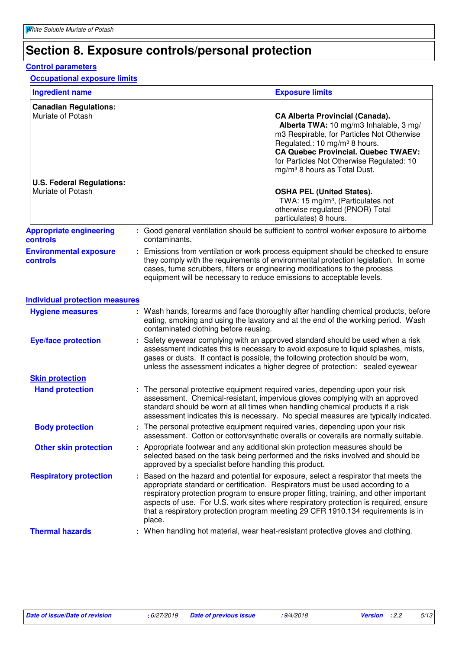### **Section 8. Exposure controls/personal protection**

#### **Control parameters**

#### **Occupational exposure limits**

| <b>Ingredient name</b>                                |                                                                                                                                                     | <b>Exposure limits</b>                                                                                                                                                                                                                                                                                             |
|-------------------------------------------------------|-----------------------------------------------------------------------------------------------------------------------------------------------------|--------------------------------------------------------------------------------------------------------------------------------------------------------------------------------------------------------------------------------------------------------------------------------------------------------------------|
| <b>Canadian Regulations:</b><br>Muriate of Potash     |                                                                                                                                                     | <b>CA Alberta Provincial (Canada).</b><br>Alberta TWA: 10 mg/m3 Inhalable, 3 mg/<br>m3 Respirable, for Particles Not Otherwise<br>Regulated.: 10 mg/m <sup>3</sup> 8 hours.<br><b>CA Quebec Provincial. Quebec TWAEV:</b><br>for Particles Not Otherwise Regulated: 10<br>mg/m <sup>3</sup> 8 hours as Total Dust. |
| <b>U.S. Federal Regulations:</b><br>Muriate of Potash |                                                                                                                                                     | <b>OSHA PEL (United States).</b><br>TWA: 15 mg/m <sup>3</sup> , (Particulates not<br>otherwise regulated (PNOR) Total<br>particulates) 8 hours.                                                                                                                                                                    |
| <b>Appropriate engineering</b><br>controls            | contaminants.                                                                                                                                       | : Good general ventilation should be sufficient to control worker exposure to airborne                                                                                                                                                                                                                             |
| <b>Environmental exposure</b><br>controls             | cases, fume scrubbers, filters or engineering modifications to the process<br>equipment will be necessary to reduce emissions to acceptable levels. | : Emissions from ventilation or work process equipment should be checked to ensure<br>they comply with the requirements of environmental protection legislation. In some                                                                                                                                           |
| <b>Individual protection measures</b>                 |                                                                                                                                                     |                                                                                                                                                                                                                                                                                                                    |
| <b>Hygiene measures</b>                               |                                                                                                                                                     | : Wash hands, forearms and face thoroughly after handling chemical products, before<br>eating, smoking and using the lavatory and at the end of the working period. Wash                                                                                                                                           |

|                            | contaminated clothing before reusing.                                                                                                                                                                                                                                                                                                       |
|----------------------------|---------------------------------------------------------------------------------------------------------------------------------------------------------------------------------------------------------------------------------------------------------------------------------------------------------------------------------------------|
| <b>Eye/face protection</b> | : Safety eyewear complying with an approved standard should be used when a risk<br>assessment indicates this is necessary to avoid exposure to liquid splashes, mists,<br>gases or dusts. If contact is possible, the following protection should be worn,<br>unless the assessment indicates a higher degree of protection: sealed eyewear |
| <b>Skin protection</b>     |                                                                                                                                                                                                                                                                                                                                             |

| <b>Hand protection</b> | : The personal protective equipment required varies, depending upon your risk        |
|------------------------|--------------------------------------------------------------------------------------|
|                        | assessment. Chemical-resistant, impervious gloves complying with an approved         |
|                        | standard should be worn at all times when handling chemical products if a risk       |
|                        | assessment indicates this is necessary. No special measures are typically indicated. |
|                        |                                                                                      |

| <b>Body protection</b> | : The personal protective equipment required varies, depending upon your risk       |
|------------------------|-------------------------------------------------------------------------------------|
|                        | assessment. Cotton or cotton/synthetic overalls or coveralls are normally suitable. |
| Athor okin protootion. | Appropriate footware and any additional skip protoction moasures should be          |

**Other skin protection :** Appropriate footwear and any additional skin protection measures should be selected based on the task being performed and the risks involved and should be approved by a specialist before handling this product.

Based on the hazard and potential for exposure, select a respirator that meets the appropriate standard or certification. Respirators must be used according to a respiratory protection program to ensure proper fitting, training, and other important aspects of use. For U.S. work sites where respiratory protection is required, ensure that a respiratory protection program meeting 29 CFR 1910.134 requirements is in place. **Respiratory protection :**

**Thermal hazards :** When handling hot material, wear heat-resistant protective gloves and clothing.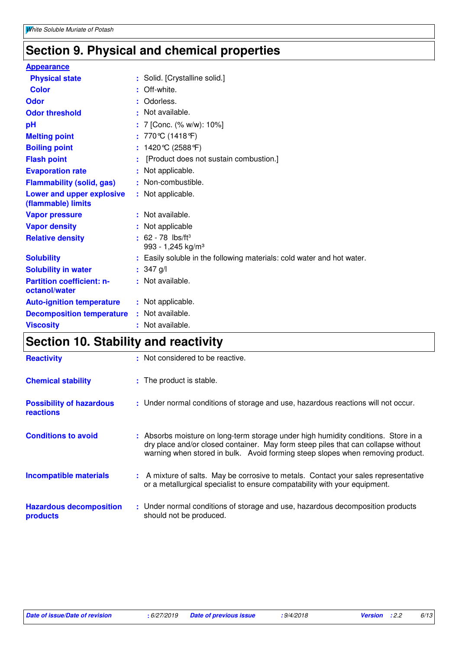# **Section 9. Physical and chemical properties**

| <b>Appearance</b>                                 |                                                                        |
|---------------------------------------------------|------------------------------------------------------------------------|
| <b>Physical state</b>                             | : Solid. [Crystalline solid.]                                          |
| <b>Color</b>                                      | Off-white.                                                             |
| Odor                                              | Odorless.<br>÷.                                                        |
| <b>Odor threshold</b>                             | : Not available.                                                       |
| рH                                                | : 7 [Conc. (% w/w): 10%]                                               |
| <b>Melting point</b>                              | : 770℃ (1418℉)                                                         |
| <b>Boiling point</b>                              | : $1420^{\circ}C(2588^{\circ}F)$                                       |
| <b>Flash point</b>                                | [Product does not sustain combustion.]                                 |
| <b>Evaporation rate</b>                           | : Not applicable.                                                      |
| <b>Flammability (solid, gas)</b>                  | : Non-combustible.                                                     |
| Lower and upper explosive<br>(flammable) limits   | : Not applicable.                                                      |
| <b>Vapor pressure</b>                             | : Not available.                                                       |
| <b>Vapor density</b>                              | : Not applicable                                                       |
| <b>Relative density</b>                           | $: 62 - 78$ lbs/ft <sup>3</sup><br>993 - 1,245 kg/m <sup>3</sup>       |
| <b>Solubility</b>                                 | : Easily soluble in the following materials: cold water and hot water. |
| <b>Solubility in water</b>                        | : $347$ g/l                                                            |
| <b>Partition coefficient: n-</b><br>octanol/water | : Not available.                                                       |
| <b>Auto-ignition temperature</b>                  | : Not applicable.                                                      |
| <b>Decomposition temperature</b>                  | Not available.                                                         |
| <b>Viscosity</b>                                  | : Not available.                                                       |

# **Section 10. Stability and reactivity**

| <b>Reactivity</b>                                   | : Not considered to be reactive.                                                                                                                                                                                                                          |
|-----------------------------------------------------|-----------------------------------------------------------------------------------------------------------------------------------------------------------------------------------------------------------------------------------------------------------|
| <b>Chemical stability</b>                           | : The product is stable.                                                                                                                                                                                                                                  |
| <b>Possibility of hazardous</b><br><b>reactions</b> | : Under normal conditions of storage and use, hazardous reactions will not occur.                                                                                                                                                                         |
| <b>Conditions to avoid</b>                          | : Absorbs moisture on long-term storage under high humidity conditions. Store in a<br>dry place and/or closed container. May form steep piles that can collapse without<br>warning when stored in bulk. Avoid forming steep slopes when removing product. |
| <b>Incompatible materials</b>                       | : A mixture of salts. May be corrosive to metals. Contact your sales representative<br>or a metallurgical specialist to ensure compatability with your equipment.                                                                                         |
| <b>Hazardous decomposition</b><br>products          | : Under normal conditions of storage and use, hazardous decomposition products<br>should not be produced.                                                                                                                                                 |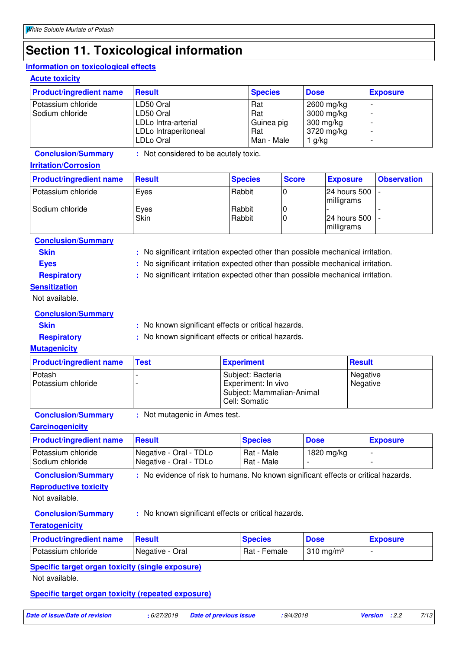### **Section 11. Toxicological information**

#### **Information on toxicological effects**

**Acute toxicity**

| <b>Product/ingredient name</b> | <b>Result</b>        | <b>Species</b> | <b>Dose</b> | <b>Exposure</b>          |
|--------------------------------|----------------------|----------------|-------------|--------------------------|
| Potassium chloride             | LD50 Oral            | Rat            | 2600 mg/kg  | $\overline{\phantom{0}}$ |
| Sodium chloride                | LD50 Oral            | Rat            | 3000 mg/kg  | $\overline{\phantom{0}}$ |
|                                | LDLo Intra-arterial  | Guinea pig     | 300 mg/kg   |                          |
|                                | LDLo Intraperitoneal | Rat            | 3720 mg/kg  | $\overline{\phantom{0}}$ |
|                                | LDLo Oral            | Man - Male     | 1 g/kg      | $\overline{\phantom{0}}$ |

**Conclusion/Summary :** Not considered to be acutely toxic.

#### **Irritation/Corrosion**

| <b>Product/ingredient name</b> | <b>Result</b> | <b>Species</b>   | <b>Score</b> | <b>Exposure</b>                      | <b>Observation</b> |
|--------------------------------|---------------|------------------|--------------|--------------------------------------|--------------------|
| Potassium chloride             | Eyes          | Rabbit           |              | 24 hours 500 -<br><i>Imilligrams</i> |                    |
| Sodium chloride                | Eyes<br>Skin  | Rabbit<br>Rabbit |              | $ 24$ hours 500 $ $ -<br>milligrams  |                    |

#### **Conclusion/Summary**

| ш<br>м |  |
|--------|--|

**Skin :** No significant irritation expected other than possible mechanical irritation.

- 
- **Eyes** : No significant irritation expected other than possible mechanical irritation.
- 
- **Respiratory :** No significant irritation expected other than possible mechanical irritation.

#### **Sensitization**

Not available.

|  |  | <b>Conclusion/Summary</b> |
|--|--|---------------------------|
|--|--|---------------------------|

**Skin** : No known significant effects or critical hazards.

### **Respiratory** : No known significant effects or critical hazards.

**Mutagenicity** Potash - Subject: Bacteria Negative<br>
Potassium chloride - Subject: Experiment: In vivo<br>
Negative Readive Potassium chaloride - Experiment: In vivo Subject: Mammalian-Animal Cell: Somatic Negative **Product/ingredient name Test Experiment Result** Result

**Conclusion/Summary :** Not mutagenic in Ames test.

#### **Carcinogenicity**

| <b>Product/ingredient name</b> Result |                                                  | <b>Species</b>           | <b>Dose</b> | <b>Exposure</b> |
|---------------------------------------|--------------------------------------------------|--------------------------|-------------|-----------------|
| Potassium chloride<br>Sodium chloride | Negative - Oral - TDLo<br>Negative - Oral - TDLo | Rat - Male<br>Rat - Male | 1820 mg/kg  |                 |

**Conclusion/Summary** : No evidence of risk to humans. No known significant effects or critical hazards.

**Reproductive toxicity**

Not available.

**Conclusion/Summary :** No known significant effects or critical hazards.

**Teratogenicity**

| <b>Product/ingredient name</b> | <b>⊟Result</b>  | <b>Species</b> | <b>Dose</b>                  | <b>Exposure</b> |
|--------------------------------|-----------------|----------------|------------------------------|-----------------|
| Potassium chloride             | Negative - Oral | Rat - Female   | $\sim$ 310 ma/m <sup>3</sup> |                 |

**Specific target organ toxicity (single exposure)**

Not available.

#### **Specific target organ toxicity (repeated exposure)**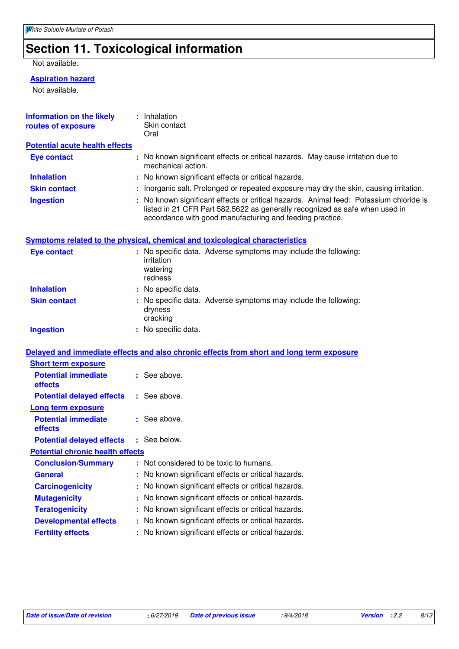# **Section 11. Toxicological information**

#### Not available.

#### **Aspiration hazard**

Not available.

| Information on the likely<br>routes of exposure | : Inhalation<br>Skin contact<br>Oral                                                                                                                                                                                              |  |
|-------------------------------------------------|-----------------------------------------------------------------------------------------------------------------------------------------------------------------------------------------------------------------------------------|--|
| <b>Potential acute health effects</b>           |                                                                                                                                                                                                                                   |  |
| <b>Eye contact</b>                              | : No known significant effects or critical hazards. May cause irritation due to<br>mechanical action.                                                                                                                             |  |
| <b>Inhalation</b>                               | : No known significant effects or critical hazards.                                                                                                                                                                               |  |
| <b>Skin contact</b>                             | : Inorganic salt. Prolonged or repeated exposure may dry the skin, causing irritation.                                                                                                                                            |  |
| <b>Ingestion</b>                                | : No known significant effects or critical hazards. Animal feed: Potassium chloride is<br>listed in 21 CFR Part 582.5622 as generally recognized as safe when used in<br>accordance with good manufacturing and feeding practice. |  |
|                                                 | <b>Symptoms related to the physical, chemical and toxicological characteristics</b>                                                                                                                                               |  |
| <b>Eye contact</b>                              | : No specific data. Adverse symptoms may include the following:<br>irritation<br>watering<br>redness                                                                                                                              |  |
| <b>Inhalation</b>                               | : No specific data.                                                                                                                                                                                                               |  |
| <b>Skin contact</b>                             | : No specific data. Adverse symptoms may include the following:<br>dryness<br>cracking                                                                                                                                            |  |
| <b>Ingestion</b>                                | : No specific data.                                                                                                                                                                                                               |  |
|                                                 | Delayed and immediate effects and also chronic effects from short and long term exposure                                                                                                                                          |  |
| <b>Short term exposure</b>                      |                                                                                                                                                                                                                                   |  |
| <b>Potential immediate</b><br>effects           | : See above.                                                                                                                                                                                                                      |  |
| <b>Potential delayed effects</b>                | : See above.                                                                                                                                                                                                                      |  |
| Long term exposure                              |                                                                                                                                                                                                                                   |  |
| <b>Potential immediate</b><br>effects           | : See above.                                                                                                                                                                                                                      |  |
| <b>Potential delayed effects</b>                | : See below.                                                                                                                                                                                                                      |  |
| <b>Potential chronic health effects</b>         |                                                                                                                                                                                                                                   |  |
| <b>Conclusion/Summary</b>                       | : Not considered to be toxic to humans.                                                                                                                                                                                           |  |
| <b>General</b>                                  | No known significant effects or critical hazards.                                                                                                                                                                                 |  |
| <b>Carcinogenicity</b>                          | No known significant effects or critical hazards.                                                                                                                                                                                 |  |
| <b>Mutagenicity</b>                             | No known significant effects or critical hazards.                                                                                                                                                                                 |  |
| <b>Teratogenicity</b>                           | No known significant effects or critical hazards.                                                                                                                                                                                 |  |
| <b>Developmental effects</b>                    | : No known significant effects or critical hazards.                                                                                                                                                                               |  |
| <b>Fertility effects</b>                        | : No known significant effects or critical hazards.                                                                                                                                                                               |  |
|                                                 |                                                                                                                                                                                                                                   |  |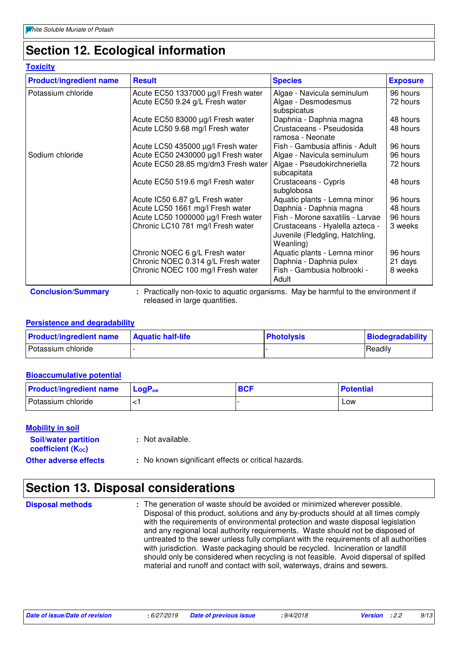### **Section 12. Ecological information**

#### **Toxicity**

| <b>Product/ingredient name</b> | <b>Result</b>                                                                      | <b>Species</b>                   | <b>Exposure</b> |
|--------------------------------|------------------------------------------------------------------------------------|----------------------------------|-----------------|
| Potassium chloride             | Acute EC50 1337000 µg/l Fresh water                                                | Algae - Navicula seminulum       | 96 hours        |
|                                | Acute EC50 9.24 g/L Fresh water                                                    | Algae - Desmodesmus              | 72 hours        |
|                                |                                                                                    | subspicatus                      |                 |
|                                | Acute EC50 83000 µg/l Fresh water                                                  | Daphnia - Daphnia magna          | 48 hours        |
|                                | Acute LC50 9.68 mg/l Fresh water                                                   | Crustaceans - Pseudosida         | 48 hours        |
|                                |                                                                                    | ramosa - Neonate                 |                 |
|                                | Acute LC50 435000 µg/l Fresh water                                                 | Fish - Gambusia affinis - Adult  | 96 hours        |
| Sodium chloride                | Acute EC50 2430000 µg/l Fresh water                                                | Algae - Navicula seminulum       | 96 hours        |
|                                | Acute EC50 28.85 mg/dm3 Fresh water                                                | Algae - Pseudokirchneriella      | 72 hours        |
|                                |                                                                                    | subcapitata                      |                 |
|                                | Acute EC50 519.6 mg/l Fresh water                                                  | Crustaceans - Cypris             | 48 hours        |
|                                |                                                                                    | subglobosa                       |                 |
|                                | Acute IC50 6.87 g/L Fresh water                                                    | Aquatic plants - Lemna minor     | 96 hours        |
|                                | Acute LC50 1661 mg/l Fresh water                                                   | Daphnia - Daphnia magna          | 48 hours        |
|                                | Acute LC50 1000000 µg/l Fresh water                                                | Fish - Morone saxatilis - Larvae | 96 hours        |
|                                | Chronic LC10 781 mg/l Fresh water                                                  | Crustaceans - Hyalella azteca -  | 3 weeks         |
|                                |                                                                                    | Juvenile (Fledgling, Hatchling,  |                 |
|                                |                                                                                    | Weanling)                        |                 |
|                                | Chronic NOEC 6 g/L Fresh water                                                     | Aquatic plants - Lemna minor     | 96 hours        |
|                                | Chronic NOEC 0.314 g/L Fresh water                                                 | Daphnia - Daphnia pulex          | 21 days         |
|                                | Chronic NOEC 100 mg/l Fresh water                                                  | Fish - Gambusia holbrooki -      | 8 weeks         |
|                                |                                                                                    | Adult                            |                 |
| <b>Conclusion/Summary</b>      | : Practically non-toxic to aquatic organisms. May be harmful to the environment if |                                  |                 |

released in large quantities.

#### **Persistence and degradability**

| <b>Product/ingredient name</b> | <b>Aquatic half-life</b> | <b>Photolysis</b> | Biodegradability |
|--------------------------------|--------------------------|-------------------|------------------|
| Potassium chloride             |                          |                   | Readily          |

#### **Bioaccumulative potential**

| <b>Product/ingredient name</b> | $\mathsf{LocP}_\mathsf{ow}$ | <b>BCF</b> | <b>Potential</b> |
|--------------------------------|-----------------------------|------------|------------------|
| Potassium chloride             |                             |            | LOW              |

#### **Mobility in soil**

| <b>Soil/water partition</b><br>coefficient (K <sub>oc</sub> ) | : Not available.                                    |
|---------------------------------------------------------------|-----------------------------------------------------|
| <b>Other adverse effects</b>                                  | : No known significant effects or critical hazards. |

### **Section 13. Disposal considerations**

**Disposal methods :**

The generation of waste should be avoided or minimized wherever possible. Disposal of this product, solutions and any by-products should at all times comply with the requirements of environmental protection and waste disposal legislation and any regional local authority requirements. Waste should not be disposed of untreated to the sewer unless fully compliant with the requirements of all authorities with jurisdiction. Waste packaging should be recycled. Incineration or landfill should only be considered when recycling is not feasible. Avoid dispersal of spilled material and runoff and contact with soil, waterways, drains and sewers.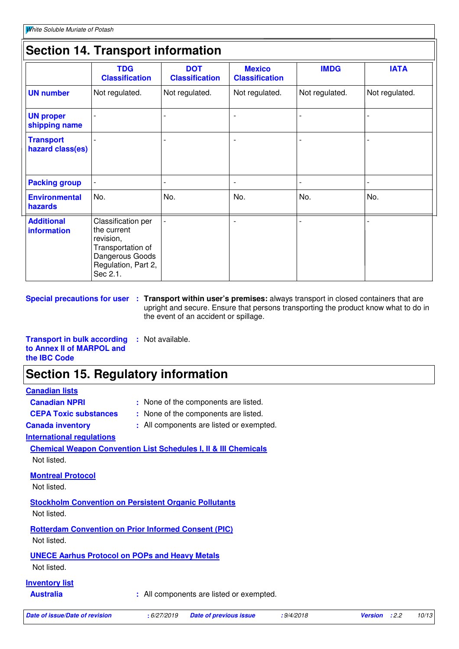### **Section 14. Transport information**

|                                      | <b>TDG</b><br><b>Classification</b>                                                                                       | <b>DOT</b><br><b>Classification</b> | <b>Mexico</b><br><b>Classification</b> | <b>IMDG</b>    | <b>IATA</b>    |
|--------------------------------------|---------------------------------------------------------------------------------------------------------------------------|-------------------------------------|----------------------------------------|----------------|----------------|
| <b>UN number</b>                     | Not regulated.                                                                                                            | Not regulated.                      | Not regulated.                         | Not regulated. | Not regulated. |
| <b>UN proper</b><br>shipping name    |                                                                                                                           |                                     | $\overline{\phantom{0}}$               |                |                |
| <b>Transport</b><br>hazard class(es) |                                                                                                                           |                                     |                                        |                |                |
| <b>Packing group</b>                 |                                                                                                                           |                                     | $\overline{\phantom{0}}$               |                |                |
| <b>Environmental</b><br>hazards      | No.                                                                                                                       | No.                                 | No.                                    | No.            | No.            |
| <b>Additional</b><br>information     | Classification per<br>the current<br>revision,<br>Transportation of<br>Dangerous Goods<br>Regulation, Part 2,<br>Sec 2.1. |                                     | $\overline{\phantom{0}}$               |                |                |

**Special precautions for user Transport within user's premises:** always transport in closed containers that are **:** upright and secure. Ensure that persons transporting the product know what to do in the event of an accident or spillage.

**Transport in bulk according to Annex II of MARPOL and the IBC Code :** Not available.

### **Section 15. Regulatory information**

| : None of the components are listed.                                       |  |  |  |  |
|----------------------------------------------------------------------------|--|--|--|--|
| : None of the components are listed.                                       |  |  |  |  |
| : All components are listed or exempted.                                   |  |  |  |  |
|                                                                            |  |  |  |  |
| <b>Chemical Weapon Convention List Schedules I, II &amp; III Chemicals</b> |  |  |  |  |
|                                                                            |  |  |  |  |
|                                                                            |  |  |  |  |
|                                                                            |  |  |  |  |
| <b>Stockholm Convention on Persistent Organic Pollutants</b>               |  |  |  |  |
| <b>Rotterdam Convention on Prior Informed Consent (PIC)</b>                |  |  |  |  |
|                                                                            |  |  |  |  |
| <b>UNECE Aarhus Protocol on POPs and Heavy Metals</b>                      |  |  |  |  |
|                                                                            |  |  |  |  |
|                                                                            |  |  |  |  |
| : All components are listed or exempted.                                   |  |  |  |  |
|                                                                            |  |  |  |  |
|                                                                            |  |  |  |  |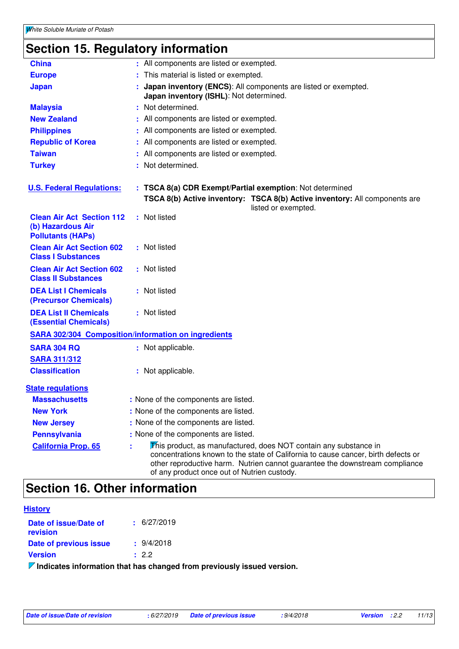# **Section 15. Regulatory information**

| <b>China</b>                                                                      | : All components are listed or exempted.                                                                                                                                                                                                                                            |  |  |
|-----------------------------------------------------------------------------------|-------------------------------------------------------------------------------------------------------------------------------------------------------------------------------------------------------------------------------------------------------------------------------------|--|--|
| <b>Europe</b>                                                                     | This material is listed or exempted.                                                                                                                                                                                                                                                |  |  |
| <b>Japan</b>                                                                      | Japan inventory (ENCS): All components are listed or exempted.<br>Japan inventory (ISHL): Not determined.                                                                                                                                                                           |  |  |
| <b>Malaysia</b>                                                                   | : Not determined.                                                                                                                                                                                                                                                                   |  |  |
| <b>New Zealand</b>                                                                | : All components are listed or exempted.                                                                                                                                                                                                                                            |  |  |
| <b>Philippines</b>                                                                | All components are listed or exempted.                                                                                                                                                                                                                                              |  |  |
| <b>Republic of Korea</b>                                                          | All components are listed or exempted.                                                                                                                                                                                                                                              |  |  |
| <b>Taiwan</b>                                                                     | All components are listed or exempted.                                                                                                                                                                                                                                              |  |  |
| <b>Turkey</b>                                                                     | : Not determined.                                                                                                                                                                                                                                                                   |  |  |
| <b>U.S. Federal Regulations:</b>                                                  | : TSCA 8(a) CDR Exempt/Partial exemption: Not determined<br>TSCA 8(b) Active inventory: TSCA 8(b) Active inventory: All components are<br>listed or exempted.                                                                                                                       |  |  |
| <b>Clean Air Act Section 112</b><br>(b) Hazardous Air<br><b>Pollutants (HAPs)</b> | : Not listed                                                                                                                                                                                                                                                                        |  |  |
| <b>Clean Air Act Section 602</b><br><b>Class I Substances</b>                     | : Not listed                                                                                                                                                                                                                                                                        |  |  |
| <b>Clean Air Act Section 602</b><br><b>Class II Substances</b>                    | : Not listed                                                                                                                                                                                                                                                                        |  |  |
| <b>DEA List I Chemicals</b><br>(Precursor Chemicals)                              | : Not listed                                                                                                                                                                                                                                                                        |  |  |
| <b>DEA List II Chemicals</b><br><b>(Essential Chemicals)</b>                      | : Not listed                                                                                                                                                                                                                                                                        |  |  |
| <b>SARA 302/304 Composition/information on ingredients</b>                        |                                                                                                                                                                                                                                                                                     |  |  |
| <b>SARA 304 RQ</b>                                                                | : Not applicable.                                                                                                                                                                                                                                                                   |  |  |
| <b>SARA 311/312</b>                                                               |                                                                                                                                                                                                                                                                                     |  |  |
| <b>Classification</b>                                                             | : Not applicable.                                                                                                                                                                                                                                                                   |  |  |
| <b>State regulations</b>                                                          |                                                                                                                                                                                                                                                                                     |  |  |
| <b>Massachusetts</b>                                                              | : None of the components are listed.                                                                                                                                                                                                                                                |  |  |
| <b>New York</b>                                                                   | : None of the components are listed.                                                                                                                                                                                                                                                |  |  |
| <b>New Jersey</b>                                                                 | : None of the components are listed.                                                                                                                                                                                                                                                |  |  |
| <b>Pennsylvania</b>                                                               | : None of the components are listed.                                                                                                                                                                                                                                                |  |  |
| <b>California Prop. 65</b>                                                        | This product, as manufactured, does NOT contain any substance in<br>concentrations known to the state of California to cause cancer, birth defects or<br>other reproductive harm. Nutrien cannot guarantee the downstream compliance<br>of any product once out of Nutrien custody. |  |  |

### **Section 16. Other information**

| <b>History</b>                    |                 |  |  |
|-----------------------------------|-----------------|--|--|
| Date of issue/Date of<br>revision | $\pm$ 6/27/2019 |  |  |
| Date of previous issue            | $\div$ 9/4/2018 |  |  |
| <b>Version</b>                    | : 2.2           |  |  |
| .                                 |                 |  |  |

**Indicates information that has changed from previously issued version.**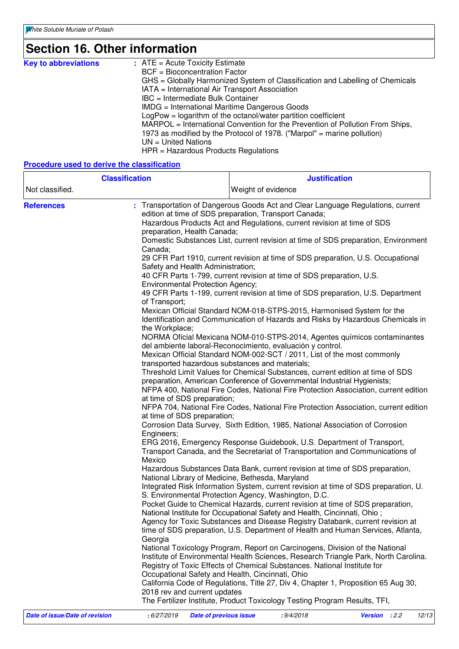# **Section 16. Other information**

| <b>Key to abbreviations</b> | $:$ ATE = Acute Toxicity Estimate                                             |
|-----------------------------|-------------------------------------------------------------------------------|
|                             | <b>BCF</b> = Bioconcentration Factor                                          |
|                             | GHS = Globally Harmonized System of Classification and Labelling of Chemicals |
|                             | IATA = International Air Transport Association                                |
|                             | IBC = Intermediate Bulk Container                                             |
|                             | IMDG = International Maritime Dangerous Goods                                 |
|                             | $LogPow = logarithm$ of the octanol/water partition coefficient               |
|                             | MARPOL = International Convention for the Prevention of Pollution From Ships, |
|                             | 1973 as modified by the Protocol of 1978. ("Marpol" = marine pollution)       |
|                             | $UN = United Nations$                                                         |
|                             | $HPR = \text{Hazardous Products Requirements}$                                |

#### **Procedure used to derive the classification**

| <b>Classification</b> |                                                                                                                                                                                                                                                                                                                                                                                                                                                       | <b>Justification</b>                                                                                                                                                                                                                                                                                                                                                                                                                                                                                                                                                                                                                                                                                                                                                                                                                                                                                                                                                                                                                                                                                                                                                                                                                                                                                                                                                                                                                                                                                                                                                                                                                                                                                                                                                                                                                                                                                                                                                                                                                                                                                                                                                                                                                                                                                                                                                                                                                            |
|-----------------------|-------------------------------------------------------------------------------------------------------------------------------------------------------------------------------------------------------------------------------------------------------------------------------------------------------------------------------------------------------------------------------------------------------------------------------------------------------|-------------------------------------------------------------------------------------------------------------------------------------------------------------------------------------------------------------------------------------------------------------------------------------------------------------------------------------------------------------------------------------------------------------------------------------------------------------------------------------------------------------------------------------------------------------------------------------------------------------------------------------------------------------------------------------------------------------------------------------------------------------------------------------------------------------------------------------------------------------------------------------------------------------------------------------------------------------------------------------------------------------------------------------------------------------------------------------------------------------------------------------------------------------------------------------------------------------------------------------------------------------------------------------------------------------------------------------------------------------------------------------------------------------------------------------------------------------------------------------------------------------------------------------------------------------------------------------------------------------------------------------------------------------------------------------------------------------------------------------------------------------------------------------------------------------------------------------------------------------------------------------------------------------------------------------------------------------------------------------------------------------------------------------------------------------------------------------------------------------------------------------------------------------------------------------------------------------------------------------------------------------------------------------------------------------------------------------------------------------------------------------------------------------------------------------------------|
| Not classified.       |                                                                                                                                                                                                                                                                                                                                                                                                                                                       | Weight of evidence                                                                                                                                                                                                                                                                                                                                                                                                                                                                                                                                                                                                                                                                                                                                                                                                                                                                                                                                                                                                                                                                                                                                                                                                                                                                                                                                                                                                                                                                                                                                                                                                                                                                                                                                                                                                                                                                                                                                                                                                                                                                                                                                                                                                                                                                                                                                                                                                                              |
| <b>References</b>     | preparation, Health Canada;<br>Canada;<br>Safety and Health Administration;<br><b>Environmental Protection Agency;</b><br>of Transport;<br>the Workplace;<br>transported hazardous substances and materials;<br>at time of SDS preparation;<br>at time of SDS preparation;<br>Engineers;<br>Mexico<br>National Library of Medicine, Bethesda, Maryland<br>Georgia<br>Occupational Safety and Health, Cincinnati, Ohio<br>2018 rev and current updates | : Transportation of Dangerous Goods Act and Clear Language Regulations, current<br>edition at time of SDS preparation, Transport Canada;<br>Hazardous Products Act and Regulations, current revision at time of SDS<br>Domestic Substances List, current revision at time of SDS preparation, Environment<br>29 CFR Part 1910, current revision at time of SDS preparation, U.S. Occupational<br>40 CFR Parts 1-799, current revision at time of SDS preparation, U.S.<br>49 CFR Parts 1-199, current revision at time of SDS preparation, U.S. Department<br>Mexican Official Standard NOM-018-STPS-2015, Harmonised System for the<br>Identification and Communication of Hazards and Risks by Hazardous Chemicals in<br>NORMA Oficial Mexicana NOM-010-STPS-2014, Agentes químicos contaminantes<br>del ambiente laboral-Reconocimiento, evaluación y control.<br>Mexican Official Standard NOM-002-SCT / 2011, List of the most commonly<br>Threshold Limit Values for Chemical Substances, current edition at time of SDS<br>preparation, American Conference of Governmental Industrial Hygienists;<br>NFPA 400, National Fire Codes, National Fire Protection Association, current edition<br>NFPA 704, National Fire Codes, National Fire Protection Association, current edition<br>Corrosion Data Survey, Sixth Edition, 1985, National Association of Corrosion<br>ERG 2016, Emergency Response Guidebook, U.S. Department of Transport,<br>Transport Canada, and the Secretariat of Transportation and Communications of<br>Hazardous Substances Data Bank, current revision at time of SDS preparation,<br>Integrated Risk Information System, current revision at time of SDS preparation, U.<br>S. Environmental Protection Agency, Washington, D.C.<br>Pocket Guide to Chemical Hazards, current revision at time of SDS preparation,<br>National Institute for Occupational Safety and Health, Cincinnati, Ohio;<br>Agency for Toxic Substances and Disease Registry Databank, current revision at<br>time of SDS preparation, U.S. Department of Health and Human Services, Atlanta,<br>National Toxicology Program, Report on Carcinogens, Division of the National<br>Institute of Environmental Health Sciences, Research Triangle Park, North Carolina.<br>Registry of Toxic Effects of Chemical Substances. National Institute for<br>California Code of Regulations, Title 27, Div 4, Chapter 1, Proposition 65 Aug 30, |
|                       |                                                                                                                                                                                                                                                                                                                                                                                                                                                       | The Fertilizer Institute, Product Toxicology Testing Program Results, TFI,                                                                                                                                                                                                                                                                                                                                                                                                                                                                                                                                                                                                                                                                                                                                                                                                                                                                                                                                                                                                                                                                                                                                                                                                                                                                                                                                                                                                                                                                                                                                                                                                                                                                                                                                                                                                                                                                                                                                                                                                                                                                                                                                                                                                                                                                                                                                                                      |